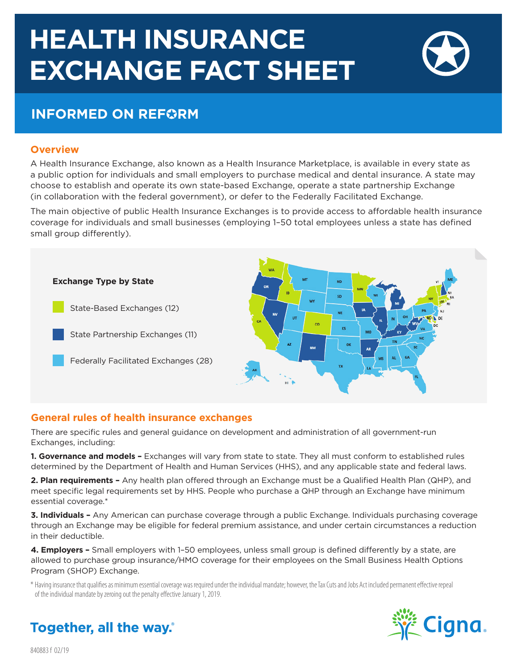# **HEALTH INSURANCE EXCHANGE FACT SHEET**

# **INFORMED ON REFORM**

### **Overview**

A Health Insurance Exchange, also known as a Health Insurance Marketplace, is available in every state as a public option for individuals and small employers to purchase medical and dental insurance. A state may choose to establish and operate its own state-based Exchange, operate a state partnership Exchange (in collaboration with the federal government), or defer to the Federally Facilitated Exchange.

The main objective of public Health Insurance Exchanges is to provide access to affordable health insurance coverage for individuals and small businesses (employing 1–50 total employees unless a state has defined small group differently).



# **General rules of health insurance exchanges**

There are specific rules and general guidance on development and administration of all government-run Exchanges, including:

**1. Governance and models –** Exchanges will vary from state to state. They all must conform to established rules determined by the Department of Health and Human Services (HHS), and any applicable state and federal laws.

**2. Plan requirements –** Any health plan offered through an Exchange must be a Qualified Health Plan (QHP), and meet specific legal requirements set by HHS. People who purchase a QHP through an Exchange have minimum essential coverage.\*

**3. Individuals –** Any American can purchase coverage through a public Exchange. Individuals purchasing coverage through an Exchange may be eligible for federal premium assistance, and under certain circumstances a reduction in their deductible.

**4. Employers –** Small employers with 1–50 employees, unless small group is defined differently by a state, are allowed to purchase group insurance/HMO coverage for their employees on the Small Business Health Options Program (SHOP) Exchange.

\* Having insurance that qualifies as minimum essential coverage was required under the individual mandate; however, the Tax Cuts and Jobs Act included permanent effective repeal of the individual mandate by zeroing out the penalty effective January 1, 2019.



**Together, all the way.** 

840883 f 02/19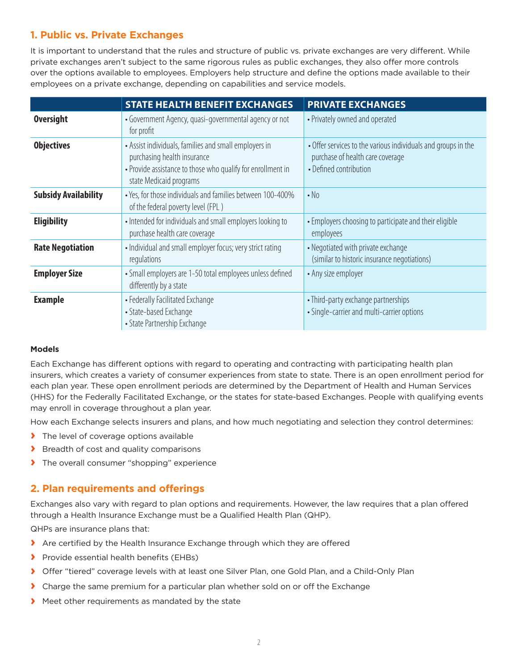# **1. Public vs. Private Exchanges**

It is important to understand that the rules and structure of public vs. private exchanges are very different. While private exchanges aren't subject to the same rigorous rules as public exchanges, they also offer more controls over the options available to employees. Employers help structure and define the options made available to their employees on a private exchange, depending on capabilities and service models.

|                             | <b>STATE HEALTH BENEFIT EXCHANGES</b>                                                                                                                                          | <b>PRIVATE EXCHANGES</b>                                                                                                    |
|-----------------------------|--------------------------------------------------------------------------------------------------------------------------------------------------------------------------------|-----------------------------------------------------------------------------------------------------------------------------|
| <b>Oversight</b>            | • Government Agency, quasi-governmental agency or not<br>for profit                                                                                                            | • Privately owned and operated                                                                                              |
| <b>Objectives</b>           | • Assist individuals, families and small employers in<br>purchasing health insurance<br>• Provide assistance to those who qualify for enrollment in<br>state Medicaid programs | • Offer services to the various individuals and groups in the<br>purchase of health care coverage<br>• Defined contribution |
| <b>Subsidy Availability</b> | • Yes, for those individuals and families between 100-400%<br>of the federal poverty level (FPL)                                                                               | $\cdot$ No                                                                                                                  |
| <b>Eligibility</b>          | • Intended for individuals and small employers looking to<br>purchase health care coverage                                                                                     | • Employers choosing to participate and their eligible<br>employees                                                         |
| <b>Rate Negotiation</b>     | • Individual and small employer focus; very strict rating<br>regulations                                                                                                       | • Negotiated with private exchange<br>(similar to historic insurance negotiations)                                          |
| <b>Employer Size</b>        | • Small employers are 1-50 total employees unless defined<br>differently by a state                                                                                            | • Any size employer                                                                                                         |
| <b>Example</b>              | • Federally Facilitated Exchange<br>• State-based Exchange<br>• State Partnership Exchange                                                                                     | • Third-party exchange partnerships<br>• Single-carrier and multi-carrier options                                           |

#### **Models**

Each Exchange has different options with regard to operating and contracting with participating health plan insurers, which creates a variety of consumer experiences from state to state. There is an open enrollment period for each plan year. These open enrollment periods are determined by the Department of Health and Human Services (HHS) for the Federally Facilitated Exchange, or the states for state-based Exchanges. People with qualifying events may enroll in coverage throughout a plan year.

How each Exchange selects insurers and plans, and how much negotiating and selection they control determines:

- **›** The level of coverage options available
- **›** Breadth of cost and quality comparisons
- **›** The overall consumer "shopping" experience

# **2. Plan requirements and offerings**

Exchanges also vary with regard to plan options and requirements. However, the law requires that a plan offered through a Health Insurance Exchange must be a Qualified Health Plan (QHP).

QHPs are insurance plans that:

- **›** Are certified by the Health Insurance Exchange through which they are offered
- **›** Provide essential health benefits (EHBs)
- **›** Offer "tiered" coverage levels with at least one Silver Plan, one Gold Plan, and a Child-Only Plan
- **›** Charge the same premium for a particular plan whether sold on or off the Exchange
- **›** Meet other requirements as mandated by the state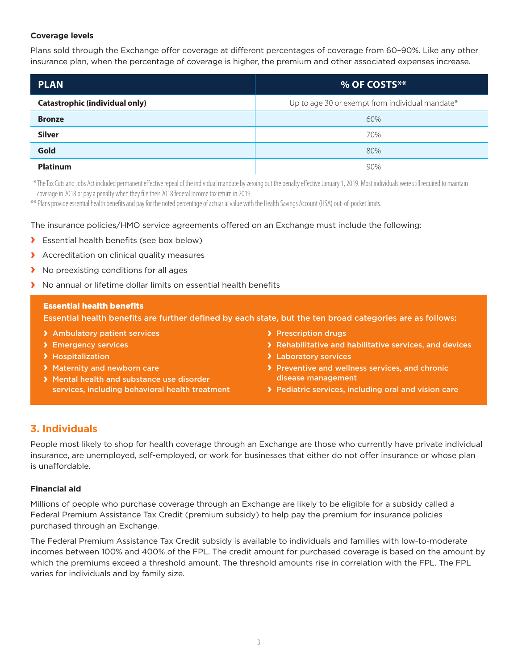#### **Coverage levels**

Plans sold through the Exchange offer coverage at different percentages of coverage from 60–90%. Like any other insurance plan, when the percentage of coverage is higher, the premium and other associated expenses increase.

| <b>PLAN</b>                           | % OF COSTS**                                    |
|---------------------------------------|-------------------------------------------------|
| <b>Catastrophic (individual only)</b> | Up to age 30 or exempt from individual mandate* |
| <b>Bronze</b>                         | 60%                                             |
| <b>Silver</b>                         | 70%                                             |
| Gold                                  | 80%                                             |
| <b>Platinum</b>                       | 90%                                             |

 \* The Tax Cuts and Jobs Act included permanent effective repeal of the individual mandate by zeroing out the penalty effective January 1, 2019. Most individuals were still required to maintain coverage in 2018 or pay a penalty when they file their 2018 federal income tax return in 2019.

\*\* Plans provide essential health benefits and pay for the noted percentage of actuarial value with the Health Savings Account (HSA) out-of-pocket limits.

The insurance policies/HMO service agreements offered on an Exchange must include the following:

- **›** Essential health benefits (see box below)
- **›** Accreditation on clinical quality measures
- **›** No preexisting conditions for all ages
- **›** No annual or lifetime dollar limits on essential health benefits

#### Essential health benefits

Essential health benefits are further defined by each state, but the ten broad categories are as follows:

- **›** Ambulatory patient services
- **›** Emergency services
- **›** Hospitalization
- **›** Maternity and newborn care
- **›** Mental health and substance use disorder services, including behavioral health treatment
- **›** Prescription drugs
- **›** Rehabilitative and habilitative services, and devices
- **›** Laboratory services
- **›** Preventive and wellness services, and chronic disease management
- **›** Pediatric services, including oral and vision care

# **3. Individuals**

People most likely to shop for health coverage through an Exchange are those who currently have private individual insurance, are unemployed, self-employed, or work for businesses that either do not offer insurance or whose plan is unaffordable.

#### **Financial aid**

Millions of people who purchase coverage through an Exchange are likely to be eligible for a subsidy called a Federal Premium Assistance Tax Credit (premium subsidy) to help pay the premium for insurance policies purchased through an Exchange.

The Federal Premium Assistance Tax Credit subsidy is available to individuals and families with low-to-moderate incomes between 100% and 400% of the FPL. The credit amount for purchased coverage is based on the amount by which the premiums exceed a threshold amount. The threshold amounts rise in correlation with the FPL. The FPL varies for individuals and by family size.